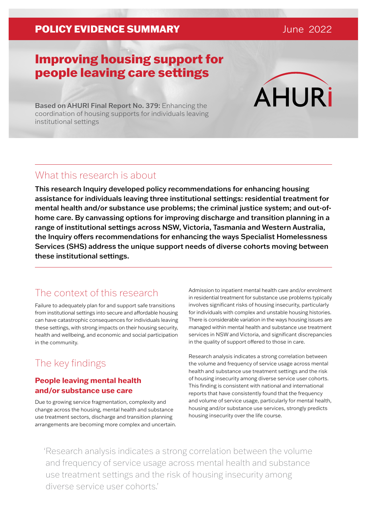### POLICY EVIDENCE SUMMARY **DEVICE 1999** June 2022

# Improving housing support for people leaving care settings

**AHURi** 

Based on AHURI Final Report No. 379: Enhancing the coordination of housing supports for individuals leaving institutional settings

## What this research is about

This research Inquiry developed policy recommendations for enhancing housing assistance for individuals leaving three institutional settings: residential treatment for mental health and/or substance use problems; the criminal justice system; and out-ofhome care. By canvassing options for improving discharge and transition planning in a range of institutional settings across NSW, Victoria, Tasmania and Western Australia, the Inquiry offers recommendations for enhancing the ways Specialist Homelessness Services (SHS) address the unique support needs of diverse cohorts moving between these institutional settings.

## The context of this research

Failure to adequately plan for and support safe transitions from institutional settings into secure and affordable housing can have catastrophic consequences for individuals leaving these settings, with strong impacts on their housing security, health and wellbeing, and economic and social participation in the community.

## The key findings

### **People leaving mental health and/or substance use care**

Due to growing service fragmentation, complexity and change across the housing, mental health and substance use treatment sectors, discharge and transition planning arrangements are becoming more complex and uncertain. Admission to inpatient mental health care and/or enrolment in residential treatment for substance use problems typically involves significant risks of housing insecurity, particularly for individuals with complex and unstable housing histories. There is considerable variation in the ways housing issues are managed within mental health and substance use treatment services in NSW and Victoria, and significant discrepancies in the quality of support offered to those in care.

Research analysis indicates a strong correlation between the volume and frequency of service usage across mental health and substance use treatment settings and the risk of housing insecurity among diverse service user cohorts. This finding is consistent with national and international reports that have consistently found that the frequency and volume of service usage, particularly for mental health, housing and/or substance use services, strongly predicts housing insecurity over the life course.

'Research analysis indicates a strong correlation between the volume and frequency of service usage across mental health and substance use treatment settings and the risk of housing insecurity among diverse service user cohorts.'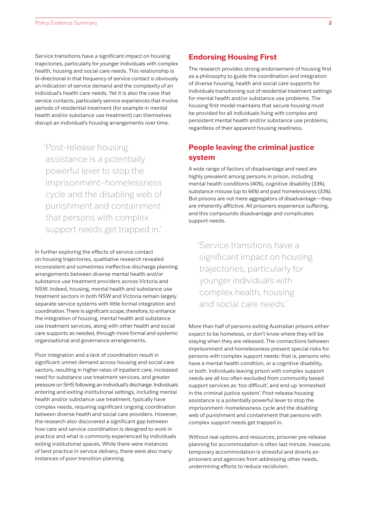Service transitions have a significant impact on housing trajectories, particularly for younger individuals with complex health, housing and social care needs. This relationship is bi-directional in that frequency of service contact is obviously an indication of service demand and the complexity of an individual's health care needs. Yet it is also the case that service contacts, particularly service experiences that involve periods of residential treatment (for example in mental health and/or substance use treatment) can themselves disrupt an individual's housing arrangements over time.

'Post-release housing assistance is a potentially powerful lever to stop the imprisonment–homelessness cycle and the disabling web of punishment and containment that persons with complex support needs get trapped in.'

In further exploring the effects of service contact on housing trajectories, qualitative research revealed inconsistent and sometimes ineffective discharge planning arrangements between diverse mental health and/or substance use treatment providers across Victoria and NSW. Indeed, housing, mental health and substance use treatment sectors in both NSW and Victoria remain largely separate service systems with little formal integration and coordination. There is significant scope, therefore, to enhance the integration of housing, mental health and substance use treatment services, along with other health and social care supports as needed, through more formal and systemic organisational and governance arrangements.

Poor integration and a lack of coordination result in significant unmet demand across housing and social care sectors, resulting in higher rates of inpatient care, increased need for substance use treatment services, and greater pressure on SHS following an individual's discharge. Individuals entering and exiting institutional settings, including mental health and/or substance use treatment, typically have complex needs, requiring significant ongoing coordination between diverse health and social care providers. However, the research also discovered a significant gap between how care and service coordination is designed to work in practice and what is commonly experienced by individuals exiting institutional spaces. While there were instances of best practice in service delivery, there were also many instances of poor transition planning.

#### **Endorsing Housing First**

The research provides strong endorsement of housing first as a philosophy to guide the coordination and integration of diverse housing, health and social care supports for individuals transitioning out of residential treatment settings for mental health and/or substance use problems. The housing first model maintains that secure housing must be provided for all individuals living with complex and persistent mental health and/or substance use problems, regardless of their apparent housing readiness.

#### **People leaving the criminal justice system**

A wide range of factors of disadvantage and need are highly prevalent among persons in prison, including mental health conditions (40%), cognitive disability (33%), substance misuse (up to 66%) and past homelessness (33%). But prisons are not mere aggregators of disadvantage—they are inherently afflictive. All prisoners experience suffering, and this compounds disadvantage and complicates support needs.

'Service transitions have a significant impact on housing trajectories, particularly for younger individuals with complex health, housing and social care needs.'

More than half of persons exiting Australian prisons either expect to be homeless, or don't know where they will be staying when they are released. The connections between imprisonment and homelessness present special risks for persons with complex support needs: that is, persons who have a mental health condition, or a cognitive disability, or both. Individuals leaving prison with complex support needs are all too often excluded from community based support services as 'too difficult', and end up 'enmeshed in the criminal justice system'. Post-release housing assistance is a potentially powerful lever to stop the imprisonment–homelessness cycle and the disabling web of punishment and containment that persons with complex support needs get trapped in.

Without real options and resources, prisoner pre-release planning for accommodation is often last minute. Insecure, temporary accommodation is stressful and diverts exprisoners and agencies from addressing other needs, undermining efforts to reduce recidivism.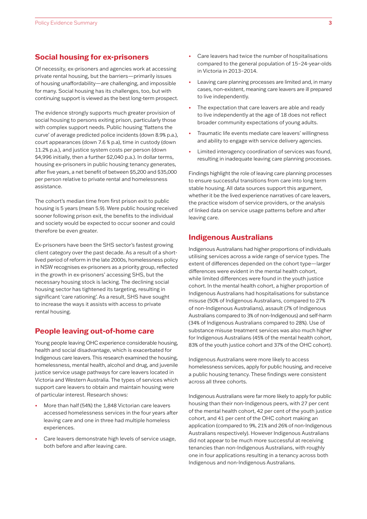#### **Social housing for ex-prisoners**

Of necessity, ex-prisoners and agencies work at accessing private rental housing, but the barriers—primarily issues of housing unaffordability—are challenging, and impossible for many. Social housing has its challenges, too, but with continuing support is viewed as the best long-term prospect.

The evidence strongly supports much greater provision of social housing to persons exiting prison, particularly those with complex support needs. Public housing 'flattens the curve' of average predicted police incidents (down 8.9% p.a.), court appearances (down 7.6 % p.a), time in custody (down 11.2% p.a.), and justice system costs per person (down \$4,996 initially, then a further \$2,040 p.a.). In dollar terms, housing ex-prisoners in public housing tenancy generates, after five years, a net benefit of between \$5,200 and \$35,000 per person relative to private rental and homelessness assistance.

The cohort's median time from first prison exit to public housing is 5 years (mean 5.9). Were public housing received sooner following prison exit, the benefits to the individual and society would be expected to occur sooner and could therefore be even greater.

Ex-prisoners have been the SHS sector's fastest growing client category over the past decade. As a result of a shortlived period of reform in the late 2000s, homelessness policy in NSW recognises ex-prisoners as a priority group, reflected in the growth in ex-prisoners' accessing SHS, but the necessary housing stock is lacking. The declining social housing sector has tightened its targeting, resulting in significant 'care rationing'. As a result, SHS have sought to increase the ways it assists with access to private rental housing.

#### **People leaving out-of-home care**

Young people leaving OHC experience considerable housing, health and social disadvantage, which is exacerbated for Indigenous care leavers. This research examined the housing, homelessness, mental health, alcohol and drug, and juvenile justice service usage pathways for care leavers located in Victoria and Western Australia. The types of services which support care leavers to obtain and maintain housing were of particular interest. Research shows:

- More than half (54%) the 1,848 Victorian care leavers accessed homelessness services in the four years after leaving care and one in three had multiple homeless experiences.
- Care leavers demonstrate high levels of service usage, both before and after leaving care.
- Care leavers had twice the number of hospitalisations compared to the general population of 15–24-year-olds in Victoria in 2013–2014.
- Leaving care planning processes are limited and, in many cases, non-existent, meaning care leavers are ill prepared to live independently.
- The expectation that care leavers are able and ready to live independently at the age of 18 does not reflect broader community expectations of young adults.
- Traumatic life events mediate care leavers' willingness and ability to engage with service delivery agencies.
- Limited interagency coordination of services was found, resulting in inadequate leaving care planning processes.

Findings highlight the role of leaving care planning processes to ensure successful transitions from care into long term stable housing. All data sources support this argument, whether it be the lived experience narratives of care leavers, the practice wisdom of service providers, or the analysis of linked data on service usage patterns before and after leaving care.

#### **Indigenous Australians**

Indigenous Australians had higher proportions of individuals utilising services across a wide range of service types. The extent of differences depended on the cohort type—larger differences were evident in the mental health cohort, while limited differences were found in the youth justice cohort. In the mental health cohort, a higher proportion of Indigenous Australians had hospitalisations for substance misuse (50% of Indigenous Australians, compared to 27% of non-Indigenous Australians), assault (7% of Indigenous Australians compared to 3% of non-Indigenous) and self-harm (34% of Indigenous Australians compared to 28%). Use of substance misuse treatment services was also much higher for Indigenous Australians (45% of the mental health cohort, 83% of the youth justice cohort and 37% of the OHC cohort).

Indigenous Australians were more likely to access homelessness services, apply for public housing, and receive a public housing tenancy. These findings were consistent across all three cohorts.

Indigenous Australians were far more likely to apply for public housing than their non-Indigenous peers, with 27 per cent of the mental health cohort, 42 per cent of the youth justice cohort, and 41 per cent of the OHC cohort making an application (compared to 9%, 21% and 26% of non-Indigenous Australians respectively). However Indigenous Australians did not appear to be much more successful at receiving tenancies than non-Indigenous Australians, with roughly one in four applications resulting in a tenancy across both Indigenous and non-Indigenous Australians.